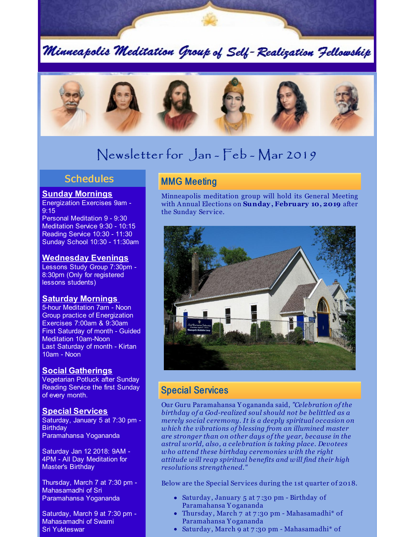Minneapolis Meditation Group of Self-Realization Fellowship



# Newsletter for Jan - Feb - Mar 2019

## **Schedules**

### **Sunday Mornings**

Energization Exercises 9am - 9:15

Personal Meditation 9 - 9:30 Meditation Service 9:30 - 10:15 Reading Service 10:30 - 11:30 Sunday School 10:30 - 11:30am

### **Wednesday Evenings**

Lessons Study Group 7:30pm - 8:30pm (Only for registered lessons students)

### **Saturday Mornings**

5-hour Meditation 7am - Noon Group practice of Energization Exercises 7:00am & 9:30am First Saturday of month - Guided Meditation 10am-Noon Last Saturday of month - Kirtan 10am - Noon

### **Social Gatherings**

Vegetarian Potluck after Sunday Reading Service the first Sunday of every month.

### **Special Services**

Saturday, January 5 at 7:30 pm - **Birthday** Paramahansa Yogananda

Saturday Jan 12 2018: 9AM - 4PM - All Day Meditation for Master's Birthday

Thursday, March 7 at 7:30 pm - Mahasamadhi of Sri Paramahansa Yogananda

Saturday, March 9 at 7:30 pm - Mahasamadhi of Swami Sri Yukteswar

## **MMG Meeting**

Minneapolis meditation group will hold its General Meeting with Annual Elections on **Sunday, February 10, 2019** after the Sunday Service.



## Special Services

Our Guru Paramahansa Y ogananda said, *"Celebration of the birthday of a God-realized soul should not be belittled as a merely social ceremony. It is a deeply spiritual occasion on which the vibrations of blessing from an illumined master are stronger than on other days of the year, because in the astral world, also, a celebration is taking place. Devotees who attend these birthday ceremonies with the right attitude will reap spiritual benefits and will find their high resolutions strengthened."*

Below are the Special Services during the 1 st quarter of 2018.

- Saturday , January 5 at 7 :30 pm Birthday of Paramahansa Y ogananda
- Thursday , March 7 at 7 :30 pm Mahasamadhi\* of Paramahansa Y ogananda
- Saturday, March 9 at 7:30 pm Mahasamadhi\* of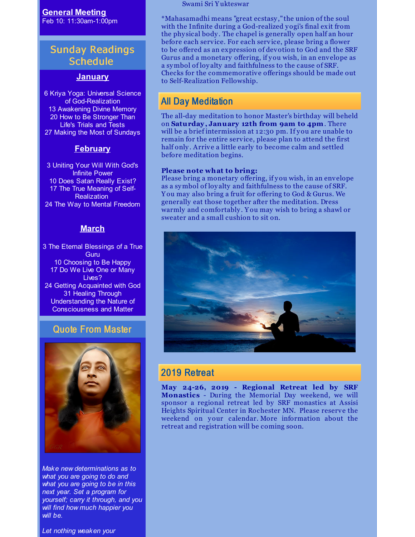**General Meeting** Feb 10: 11:30am-1:00pm

## Sunday Readings **Schedule**

#### **January**

 Kriya Yoga: Universal Science of God-Realization Awakening Divine Memory How to Be Stronger Than Life's Trials and Tests Making the Most of Sundays

### **February**

 Uniting Your Will With God's Infinite Power Does Satan Really Exist? The True Meaning of Self-**Realization** The Way to Mental Freedom

### **March**

3 The Eternal Blessings of a True **Guru** 10 Choosing to Be Happy 17 Do We Live One or Many Lives? 24 Getting Acquainted with God 31 Healing Through Understanding the Nature of Consciousness and Matter

### Quote From Master



*Make new determinations as to what you are going to do and what you are going to be in this next year. Set a program for yourself; carry it through, and you will find how much happier you will be.*

*Let nothing weaken your*

Swami Sri Y ukteswar

\*Mahasamadhi means "great ecstasy ," the union of the soul with the Infinite during a God-realized yogi's final exit from the phy sical body . The chapel is generally open half an hour before each service. For each service, please bring a flower to be offered as an expression of devotion to God and the SRF Gurus and a monetary offering, if you wish, in an envelope as a symbol of loy alty and faithfulness to the cause of SRF. Checks for the commemorative offerings should be made out to Self-Realization Fellowship.

## All Day Meditation

The all-day meditation to honor Master's birthday will beheld on **Saturday, January 12th from 9am to 4pm**. There will be a brief intermission at 12:30 pm. If you are unable to remain for the entire service, please plan to attend the first half only. Arrive a little early to become calm and settled before meditation begins.

#### **Please note what to bring:**

Please bring a monetary offering, if you wish, in an envelope as a symbol of loy alty and faithfulness to the cause of SRF. Y ou may also bring a fruit for offering to God & Gurus. We generally eat those together after the meditation. Dress warmly and comfortably . Y ou may wish to bring a shawl or sweater and a small cushion to sit on.



### 2019 Retreat

**May 24-26, 2019 - Regional Retreat led by SRF Monastics** - During the Memorial Day weekend, we will sponsor a regional retreat led by SRF monastics at Assisi Heights Spiritual Center in Rochester MN. Please reserve the weekend on your calendar. More information about the retreat and registration will be coming soon.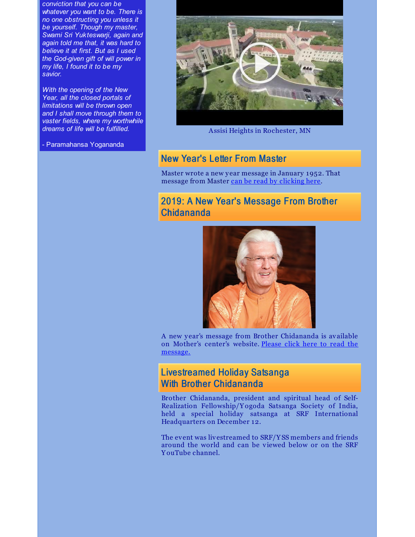*conviction that you can be whatever you want to be. There is no one obstructing you unless it be yourself. Though my master, Swami Sri Yukteswarji, again and again told me that, it was hard to believe it at first. But as I used the God-given gift of will power in my life, I found it to be my savior.*

*With the opening of the New Year, all the closed portals of limitations will be thrown open and I shall move through them to vaster fields, where my worthwhile dreams of life will be fulfilled.*

- Paramahansa Yogananda



Assisi Heights in Rochester, MN

## New Year's Letter From Master

Master wrote a new year message in January 1952. That message from Master can be read by [clicking](https://files.constantcontact.com/3e66037a001/87d130e0-dad7-4c62-97ba-c68a1c6ee748.png) here.

## 2019: A New Year's Message From Brother Chidananda



A new y ear's message from Brother Chidananda is available on Mother's center's website. Please click here to read the [message.](https://www.yogananda-srf.org/MessagesBC/2019_New_Year_s_Message_From_Brother_Chidananda.aspx)

## Livestreamed Holiday Satsanga With Brother Chidananda

Brother Chidananda, president and spiritual head of Self-Realization Fellowship/Y ogoda Satsanga Society of India, held a special holiday satsanga at SRF International Headquarters on December 12.

The event was livestreamed to SRF/Y SS members and friends around the world and can be viewed below or on the SRF Y ouTube channel.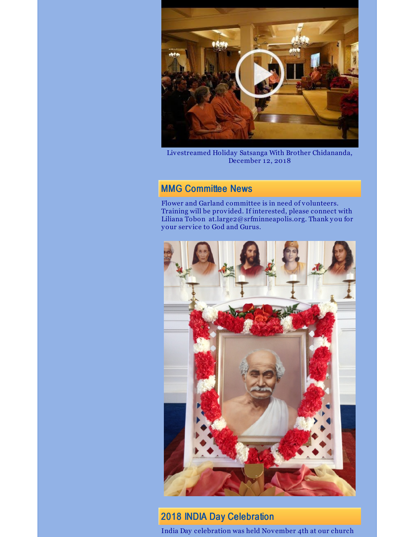

Livestreamed Holiday Satsanga With Brother Chidananda, December 12, 2018

## MMG Committee News

Flower and Garland committee is in need of volunteers. Training will be provided. If interested, please connect with Liliana Tobon at.large2@srfminneapolis.org. Thank you for your service to God and Gurus.



## 2018 INDIA Day Celebration

India Day celebration was held November 4th at our church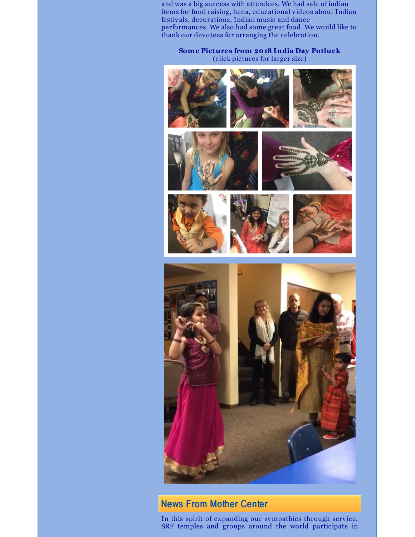and was a big success with attendees. We had sale of indian items for fund raising, hena, educational videos about Indian festivals, decorations, Indian music and dance performances. We also had some great food. We would like to thank our devotees for arranging the celebration.

#### **Some Pictures from 2018 India Day Potluck** (click pictures for larger size)



## News From Mother Center

In this spirit of expanding our sympathies through service, SRF temples and groups around the world participate in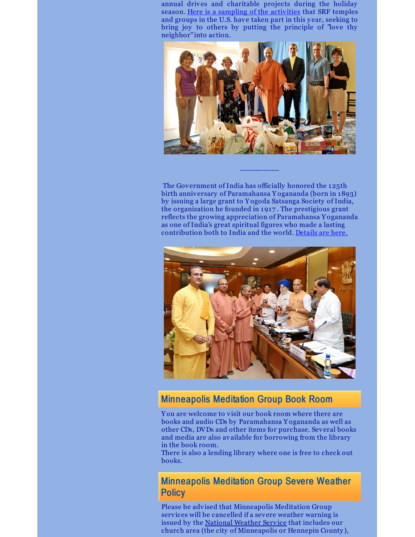annual drives and charitable projects during the holiday season. Here is a sampling of the [activities](https://www.yogananda-srf.org/NewsArchive/2018/SRF_Temples_and_Centers_Serve_Their_Communities_This_Holiday_Season.aspx) that SRF temples and groups in the U.S. have taken part in this year, seeking to bring joy to others by putting the principle of "love thy neighbor" into action.



The Government of India has officially honored the 125th birth anniversary of Paramahansa Y ogananda (born in 1893) by issuing a large grant to Y ogoda Satsanga Society of India, the organization he founded in 1917 . The prestigious grant reflects the growing appreciation of Paramahansa Y ogananda as one of India's great spiritual figures who made a lasting contribution both to India and the world. [Details](https://www.yogananda-srf.org/NewsArchive/2018/Government_of_India_Honors_125th_Birth_Anniversary_of__Paramahansa_Yogananda.aspx) are here.

---------------



### Minneapolis Meditation Group Book Room

Y ou are welcome to visit our book room where there are books and audio CDs by Paramahansa Y ogananda as well as other CDs, DVDs and other items for purchase. Several books and media are also available for borrowing from the library in the book room.

There is also a lending library where one is free to check out books.

Minneapolis Meditation Group Severe Weather **Policy** 

Please be advised that Minneapolis Meditation Group services will be cancelled if a severe weather warning is issued by the [National](http://forecast.weather.gov/MapClick.php?CityName=Minneapolis&state=MN&site=MPX&textField1=44.9618&textField2=-93.2668&e=0) Weather Service that includes our church area (the city of Minneapolis or Hennepin County ),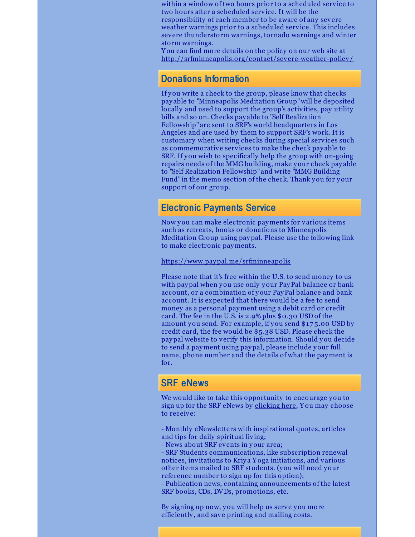within a window of two hours prior to a scheduled service to two hours after a scheduled service. It will be the responsibility of each member to be aware of any severe weather warnings prior to a scheduled service. This includes severe thunderstorm warnings, tornado warnings and winter storm warnings.

Y ou can find more details on the policy on our web site at [http://srfminneapolis.org/contact/severe-weather-policy](http://srfminneapolis.org/severeweatherpolicy.html) /

### Donations Information

If you write a check to the group, please know that checks pay able to "Minneapolis Meditation Group"will be deposited locally and used to support the group's activities, pay utility bills and so on. Checks pay able to "Self Realization Fellowship" are sent to SRF's world headquarters in Los Angeles and are used by them to support SRF's work. It is customary when writing checks during special services such as commemorative services to make the check pay able to SRF. If you wish to specifically help the group with on-going repairs needs of the MMG building, make your check pay able to "Self Realization Fellowship" and write "MMG Building Fund" in the memo section of the check. Thank you for your support of our group.

### Electronic Payments Service

Now you can make electronic payments for various items such as retreats, books or donations to Minneapolis Meditation Group using paypal. Please use the following link to make electronic payments.

<https://www.paypal.me/srfminneapolis>

Please note that it's free within the U.S. to send money to us with paypal when you use only your PayPal balance or bank account, or a combination of your PayPal balance and bank account. It is expected that there would be a fee to send money as a personal payment using a debit card or credit card. The fee in the U.S. is 2.9% plus \$0.30 USD of the amount you send. For example, if you send \$17 5.00 USD by credit card, the fee would be \$5.38 USD. Please check the paypal website to verify this information. Should you decide to send a payment using paypal, please include your full name, phone number and the details of what the payment is for.

### SRF eNews

We would like to take this opportunity to encourage you to sign up for the SRF eNews by [clicking](https://members.yogananda-srf.org/MemberPortal/Account/RegisterEmail) here. Y ou may choose to receive:

- Monthly eNewsletters with inspirational quotes, articles and tips for daily spiritual living;

- News about SRF events in your area;

- SRF Students communications, like subscription renewal notices, invitations to Kriya Y oga initiations, and various other items mailed to SRF students. (you will need your reference number to sign up for this option);

- Publication news, containing announcements of the latest SRF books, CDs, DVDs, promotions, etc.

By signing up now, you will help us serve you more efficiently , and save printing and mailing costs.